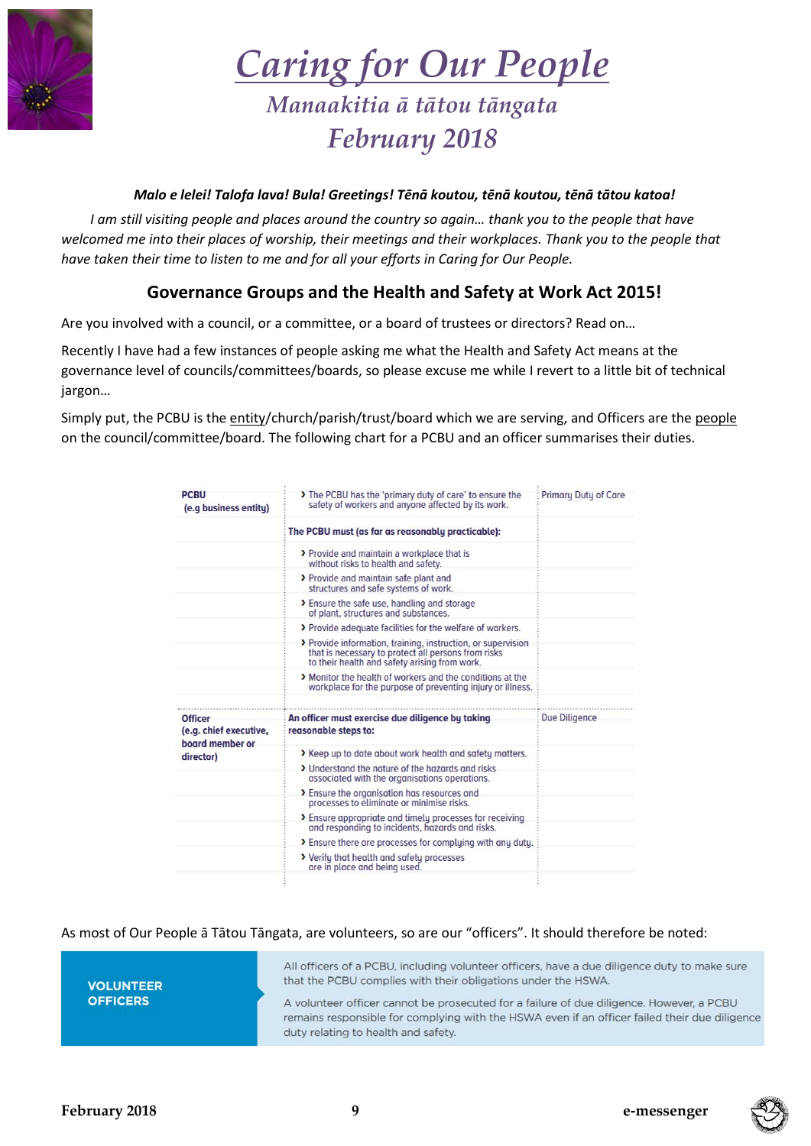

# *Caring for Our People*

# *Manaakitia ā tātou tāngata February 2018*

### *Malo e lelei! Talofa lava! Bula! Greetings! Tēnā koutou, tēnā koutou, tēnā tātou katoa!*

*I am still visiting people and places around the country so again… thank you to the people that have*  welcomed me into their places of worship, their meetings and their workplaces. Thank you to the people that *have taken their time to listen to me and for all your efforts in Caring for Our People.*

# **Governance Groups and the Health and Safety at Work Act 2015!**

Are you involved with a council, or a committee, or a board of trustees or directors? Read on…

Recently I have had a few instances of people asking me what the Health and Safety Act means at the governance level of councils/committees/boards, so please excuse me while I revert to a little bit of technical jargon…

Simply put, the PCBU is the entity/church/parish/trust/board which we are serving, and Officers are the people on the council/committee/board. The following chart for a PCBU and an officer summarises their duties.

| <b>PCBU</b><br>(e.g business entity)      | The PCBU has the 'primary duty of care' to ensure the<br>safety of workers and anyone affected by its work.                                                          | <b>Primary Duty of Care</b> |
|-------------------------------------------|----------------------------------------------------------------------------------------------------------------------------------------------------------------------|-----------------------------|
|                                           | The PCBU must (as far as reasonably practicable):                                                                                                                    |                             |
|                                           | > Provide and maintain a workplace that is<br>without risks to health and safety.                                                                                    |                             |
|                                           | > Provide and maintain safe plant and<br>structures and safe systems of work.                                                                                        |                             |
|                                           | > Ensure the safe use, handling and storage<br>of plant, structures and substances.                                                                                  |                             |
|                                           | > Provide adequate facilities for the welfare of workers.                                                                                                            |                             |
|                                           | > Provide information, training, instruction, or supervision<br>that is necessary to protect all persons from risks<br>to their health and safety arising from work. |                             |
|                                           | > Monitor the health of workers and the conditions at the<br>workplace for the purpose of preventing injury or illness.                                              |                             |
|                                           |                                                                                                                                                                      |                             |
| <b>Officer</b>                            | An officer must exercise due diligence by taking                                                                                                                     | Due Diligence               |
| (e.g. chief executive,<br>board member or | reasonable steps to:                                                                                                                                                 |                             |
| director)                                 | > Keep up to date about work health and safety matters.                                                                                                              |                             |
|                                           | > Understand the nature of the hazards and risks<br>associated with the organisations operations.                                                                    |                             |
|                                           | > Ensure the organisation has resources and<br>processes to eliminate or minimise risks.                                                                             |                             |
|                                           | > Ensure appropriate and timely processes for receiving<br>and responding to incidents, hazards and risks.                                                           |                             |
|                                           | > Ensure there are processes for complying with any duty.                                                                                                            |                             |
|                                           | > Verify that health and safety processes<br>are in place and being used.                                                                                            |                             |
|                                           |                                                                                                                                                                      |                             |

As most of Our People ā Tātou Tāngata, are volunteers, so are our "officers". It should therefore be noted:

**VOLUNTEER OFFICERS** 

All officers of a PCBU, including volunteer officers, have a due diligence duty to make sure that the PCBU complies with their obligations under the HSWA.

A volunteer officer cannot be prosecuted for a failure of due diligence. However, a PCBU remains responsible for complying with the HSWA even if an officer failed their due diligence duty relating to health and safety.